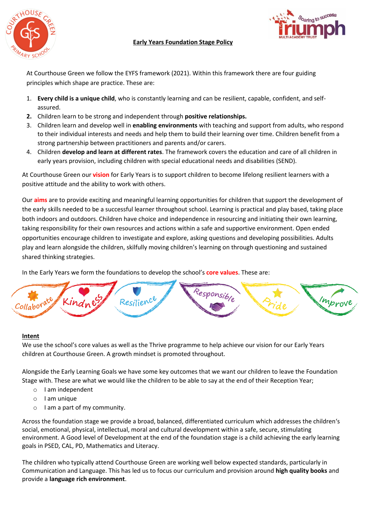

# **Early Years Foundation Stage Policy**



At Courthouse Green we follow the EYFS framework (2021). Within this framework there are four guiding principles which shape are practice. These are:

- 1. **Every child is a unique child**, who is constantly learning and can be resilient, capable, confident, and selfassured.
- **2.** Children learn to be strong and independent through **positive relationships.**
- 3. Children learn and develop well in **enabling environments** with teaching and support from adults, who respond to their individual interests and needs and help them to build their learning over time. Children benefit from a strong partnership between practitioners and parents and/or carers.
- 4. Children **develop and learn at different rates**. The framework covers the education and care of all children in early years provision, including children with special educational needs and disabilities (SEND).

At Courthouse Green our **vision** for Early Years is to support children to become lifelong resilient learners with a positive attitude and the ability to work with others.

Our **aims** are to provide exciting and meaningful learning opportunities for children that support the development of the early skills needed to be a successful learner throughout school. Learning is practical and play based, taking place both indoors and outdoors. Children have choice and independence in resourcing and initiating their own learning, taking responsibility for their own resources and actions within a safe and supportive environment. Open ended opportunities encourage children to investigate and explore, asking questions and developing possibilities. Adults play and learn alongside the children, skilfully moving children's learning on through questioning and sustained shared thinking strategies.

In the Early Years we form the foundations to develop the school's **core values**. These are:



#### **Intent**

We use the school's core values as well as the Thrive programme to help achieve our vision for our Early Years children at Courthouse Green. A growth mindset is promoted throughout.

Alongside the Early Learning Goals we have some key outcomes that we want our children to leave the Foundation Stage with. These are what we would like the children to be able to say at the end of their Reception Year;

- o I am independent
- o I am unique
- o I am a part of my community.

Across the foundation stage we provide a broad, balanced, differentiated curriculum which addresses the children's social, emotional, physical, intellectual, moral and cultural development within a safe, secure, stimulating environment. A Good level of Development at the end of the foundation stage is a child achieving the early learning goals in PSED, CAL, PD, Mathematics and Literacy.

The children who typically attend Courthouse Green are working well below expected standards, particularly in Communication and Language. This has led us to focus our curriculum and provision around **high quality books** and provide a **language rich environment**.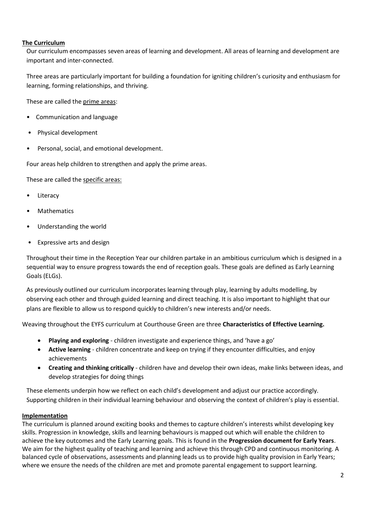#### **The Curriculum**

Our curriculum encompasses seven areas of learning and development. All areas of learning and development are important and inter-connected.

Three areas are particularly important for building a foundation for igniting children's curiosity and enthusiasm for learning, forming relationships, and thriving.

These are called the prime areas:

- Communication and language
- Physical development
- Personal, social, and emotional development.

Four areas help children to strengthen and apply the prime areas.

These are called the specific areas:

- **Literacy**
- **Mathematics**
- Understanding the world
- Expressive arts and design

Throughout their time in the Reception Year our children partake in an ambitious curriculum which is designed in a sequential way to ensure progress towards the end of reception goals. These goals are defined as Early Learning Goals (ELGs).

As previously outlined our curriculum incorporates learning through play, learning by adults modelling, by observing each other and through guided learning and direct teaching. It is also important to highlight that our plans are flexible to allow us to respond quickly to children's new interests and/or needs.

Weaving throughout the EYFS curriculum at Courthouse Green are three **Characteristics of Effective Learning.**

- **Playing and exploring** children investigate and experience things, and 'have a go'
- **Active learning** children concentrate and keep on trying if they encounter difficulties, and enjoy achievements
- **Creating and thinking critically** children have and develop their own ideas, make links between ideas, and develop strategies for doing things

These elements underpin how we reflect on each child's development and adjust our practice accordingly. Supporting children in their individual learning behaviour and observing the context of children's play is essential.

#### **Implementation**

The curriculum is planned around exciting books and themes to capture children's interests whilst developing key skills. Progression in knowledge, skills and learning behaviours is mapped out which will enable the children to achieve the key outcomes and the Early Learning goals. This is found in the **Progression document for Early Years**. We aim for the highest quality of teaching and learning and achieve this through CPD and continuous monitoring. A balanced cycle of observations, assessments and planning leads us to provide high quality provision in Early Years; where we ensure the needs of the children are met and promote parental engagement to support learning.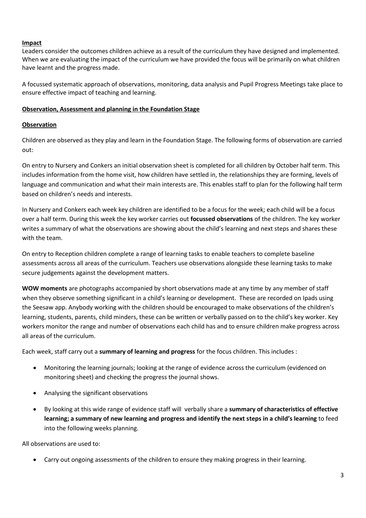## **Impact**

Leaders consider the outcomes children achieve as a result of the curriculum they have designed and implemented. When we are evaluating the impact of the curriculum we have provided the focus will be primarily on what children have learnt and the progress made.

A focussed systematic approach of observations, monitoring, data analysis and Pupil Progress Meetings take place to ensure effective impact of teaching and learning.

#### **Observation, Assessment and planning in the Foundation Stage**

## **Observation**

Children are observed as they play and learn in the Foundation Stage. The following forms of observation are carried out:

On entry to Nursery and Conkers an initial observation sheet is completed for all children by October half term. This includes information from the home visit, how children have settled in, the relationships they are forming, levels of language and communication and what their main interests are. This enables staff to plan for the following half term based on children's needs and interests.

In Nursery and Conkers each week key children are identified to be a focus for the week; each child will be a focus over a half term. During this week the key worker carries out **focussed observations** of the children. The key worker writes a summary of what the observations are showing about the child's learning and next steps and shares these with the team.

On entry to Reception children complete a range of learning tasks to enable teachers to complete baseline assessments across all areas of the curriculum. Teachers use observations alongside these learning tasks to make secure judgements against the development matters.

**WOW moments** are photographs accompanied by short observations made at any time by any member of staff when they observe something significant in a child's learning or development. These are recorded on Ipads using the Seesaw app. Anybody working with the children should be encouraged to make observations of the children's learning, students, parents, child minders, these can be written or verbally passed on to the child's key worker. Key workers monitor the range and number of observations each child has and to ensure children make progress across all areas of the curriculum.

Each week, staff carry out a **summary of learning and progress** for the focus children. This includes :

- Monitoring the learning journals; looking at the range of evidence across the curriculum (evidenced on monitoring sheet) and checking the progress the journal shows.
- Analysing the significant observations
- By looking at this wide range of evidence staff will verbally share a **summary of characteristics of effective learning; a summary of new learning and progress and identify the next steps in a child's learning** to feed into the following weeks planning.

All observations are used to:

• Carry out ongoing assessments of the children to ensure they making progress in their learning.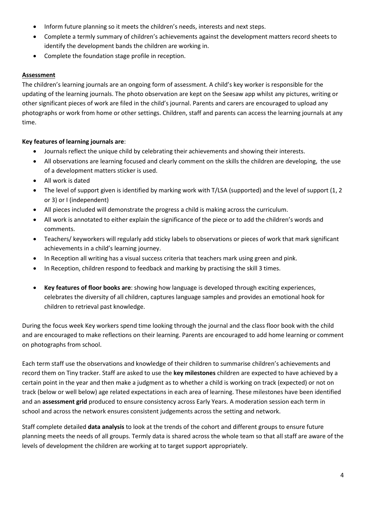- Inform future planning so it meets the children's needs, interests and next steps.
- Complete a termly summary of children's achievements against the development matters record sheets to identify the development bands the children are working in.
- Complete the foundation stage profile in reception.

# **Assessment**

The children's learning journals are an ongoing form of assessment. A child's key worker is responsible for the updating of the learning journals. The photo observation are kept on the Seesaw app whilst any pictures, writing or other significant pieces of work are filed in the child's journal. Parents and carers are encouraged to upload any photographs or work from home or other settings. Children, staff and parents can access the learning journals at any time.

# **Key features of learning journals are**:

- Journals reflect the unique child by celebrating their achievements and showing their interests.
- All observations are learning focused and clearly comment on the skills the children are developing, the use of a development matters sticker is used.
- All work is dated
- The level of support given is identified by marking work with T/LSA (supported) and the level of support (1, 2 or 3) or I (independent)
- All pieces included will demonstrate the progress a child is making across the curriculum.
- All work is annotated to either explain the significance of the piece or to add the children's words and comments.
- Teachers/ keyworkers will regularly add sticky labels to observations or pieces of work that mark significant achievements in a child's learning journey.
- In Reception all writing has a visual success criteria that teachers mark using green and pink.
- In Reception, children respond to feedback and marking by practising the skill 3 times.
- **Key features of floor books are**: showing how language is developed through exciting experiences, celebrates the diversity of all children, captures language samples and provides an emotional hook for children to retrieval past knowledge.

During the focus week Key workers spend time looking through the journal and the class floor book with the child and are encouraged to make reflections on their learning. Parents are encouraged to add home learning or comment on photographs from school.

Each term staff use the observations and knowledge of their children to summarise children's achievements and record them on Tiny tracker. Staff are asked to use the **key milestones** children are expected to have achieved by a certain point in the year and then make a judgment as to whether a child is working on track (expected) or not on track (below or well below) age related expectations in each area of learning. These milestones have been identified and an **assessment grid** produced to ensure consistency across Early Years. A moderation session each term in school and across the network ensures consistent judgements across the setting and network.

Staff complete detailed **data analysis** to look at the trends of the cohort and different groups to ensure future planning meets the needs of all groups. Termly data is shared across the whole team so that all staff are aware of the levels of development the children are working at to target support appropriately.